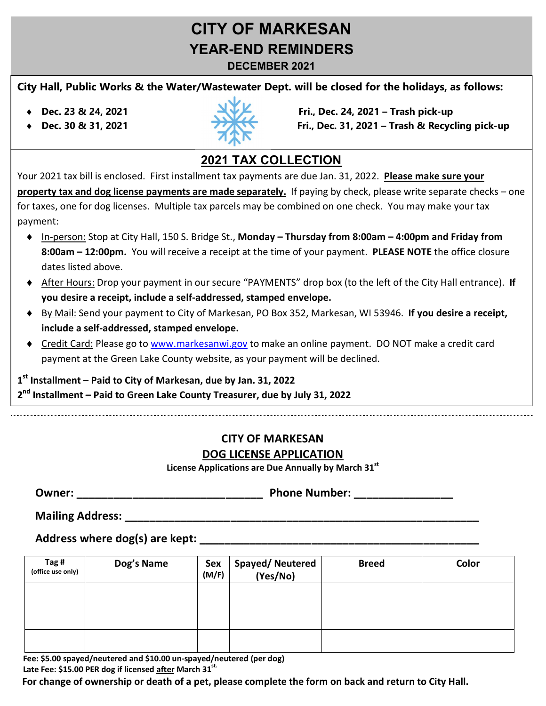# **CITY OF MARKESAN YEAR-END REMINDERS**

**DECEMBER 2021**

#### **City Hall, Public Works & the Water/Wastewater Dept. will be closed for the holidays, as follows:**

- 
- 



® **Dec. 23 & 24, 2021 Fri., Dec. 24, 2021 – Trash pick-up** ® **Dec. 30 & 31, 2021 Sat., Fri., Dec. 31, 2021 – Trash & Recycling pick-up**

## **2021 TAX COLLECTION**

Your 2021 tax bill is enclosed. First installment tax payments are due Jan. 31, 2022. **Please make sure your property tax and dog license payments are made separately.** If paying by check, please write separate checks – one for taxes, one for dog licenses. Multiple tax parcels may be combined on one check. You may make your tax payment:

- ® In-person: Stop at City Hall, 150 S. Bridge St., **Monday – Thursday from 8:00am – 4:00pm and Friday from 8:00am – 12:00pm.** You will receive a receipt at the time of your payment. **PLEASE NOTE** the office closure dates listed above.
- ® After Hours: Drop your payment in our secure "PAYMENTS" drop box (to the left of the City Hall entrance). **If you desire a receipt, include a self-addressed, stamped envelope.**
- ® By Mail: Send your payment to City of Markesan, PO Box 352, Markesan, WI 53946. **If you desire a receipt, include a self-addressed, stamped envelope.**
- ◆ Credit Card: Please go to www.markesanwi.gov to make an online payment. DO NOT make a credit card payment at the Green Lake County website, as your payment will be declined.

**1st Installment – Paid to City of Markesan, due by Jan. 31, 2022**

**2nd Installment – Paid to Green Lake County Treasurer, due by July 31, 2022**

#### **CITY OF MARKESAN DOG LICENSE APPLICATION**

**License Applications are Due Annually by March 31st**

| :Jwner | <b>Phone Number:</b> |
|--------|----------------------|
|--------|----------------------|

**Mailing Address:** 

 **Address where dog(s) are kept: \_\_\_\_\_\_\_\_\_\_\_\_\_\_\_\_\_\_\_\_\_\_\_\_\_\_\_\_\_\_\_\_\_\_\_\_\_\_\_\_\_\_\_\_\_** 

| Tag #<br>(office use only) | Dog's Name | Sex<br>(M/F) | Spayed/ Neutered<br>(Yes/No) | <b>Breed</b> | Color |
|----------------------------|------------|--------------|------------------------------|--------------|-------|
|                            |            |              |                              |              |       |
|                            |            |              |                              |              |       |
|                            |            |              |                              |              |       |

 **Fee: \$5.00 spayed/neutered and \$10.00 un-spayed/neutered (per dog)** Late Fee: \$15.00 PER dog if licensed after March 31<sup>st.</sup>

 **For change of ownership or death of a pet, please complete the form on back and return to City Hall.**